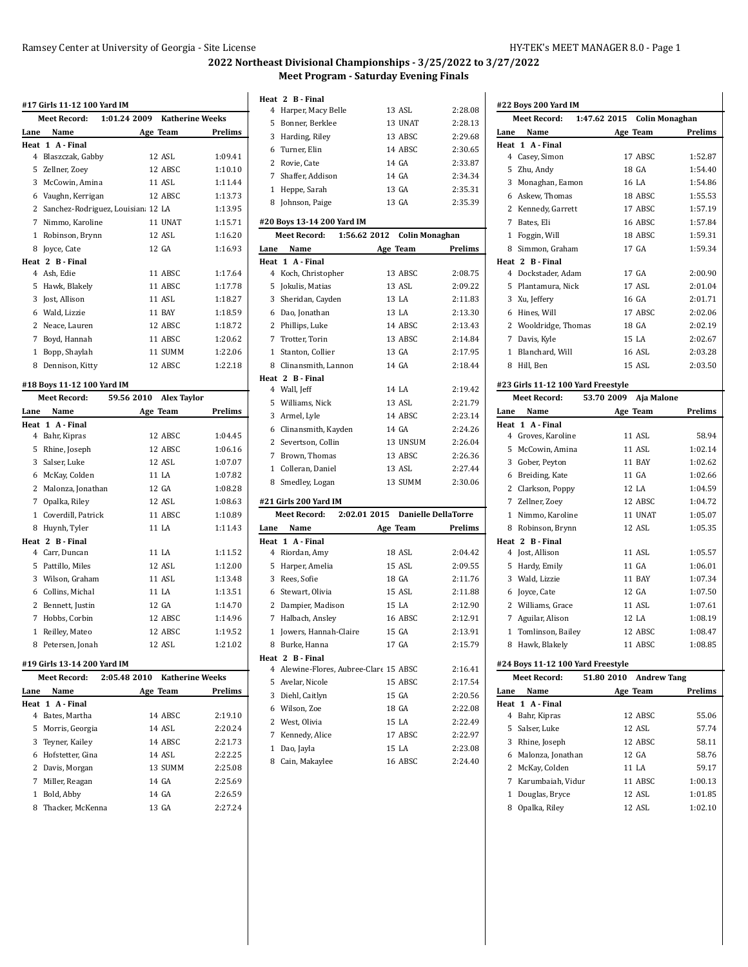### Ramsey Center at University of Georgia - Site License HY-TEK's MEET MANAGER 8.0 - Page 1

# **2022 Northeast Divisional Championships - 3/25/2022 to 3/27/2022 Meet Program - Saturday Evening Finals**

|                | Meet Record:                      | 1:01.24 2009 Katherine Weeks     |         |
|----------------|-----------------------------------|----------------------------------|---------|
| Lane           | Name                              | Age Team                         | Prelims |
|                | Heat 1 A - Final                  |                                  |         |
|                | 4 Blaszczak, Gabby                | 12 ASL                           | 1:09.41 |
| 5              | Zellner, Zoey                     | 12 ABSC                          | 1:10.10 |
|                | 3 McCowin, Amina                  | 11 ASL                           | 1:11.44 |
|                | 6 Vaughn, Kerrigan                | 12 ABSC                          | 1:13.73 |
| $\overline{2}$ | Sanchez-Rodriguez, Louisian 12 LA |                                  | 1:13.95 |
|                | 7 Nimmo, Karoline                 | 11 UNAT                          | 1:15.71 |
|                | 1 Robinson, Brynn                 | 12 ASL                           | 1:16.20 |
| 8              | Joyce, Cate                       | 12 GA                            | 1:16.93 |
|                | Heat 2 B - Final                  |                                  |         |
|                | 4 Ash, Edie                       | 11 ABSC                          | 1:17.64 |
| 5              | Hawk, Blakely                     | 11 ABSC                          | 1:17.78 |
| 3              | Jost, Allison                     | 11 ASL                           | 1:18.27 |
|                | 6 Wald, Lizzie                    | <b>11 BAY</b>                    | 1:18.59 |
| $\overline{2}$ | Neace, Lauren                     | 12 ABSC                          | 1:18.72 |
|                | 7 Boyd, Hannah                    | 11 ABSC                          | 1:20.62 |
|                | 1 Bopp, Shaylah                   | 11 SUMM                          | 1:22.06 |
| 8              | Dennison, Kitty                   | 12 ABSC                          | 1:22.18 |
|                | #18 Boys 11-12 100 Yard IM        |                                  |         |
|                | <b>Meet Record:</b>               | 59.56 2010<br><b>Alex Taylor</b> |         |
| Lane           | Name                              | Age Team                         | Prelims |
|                | Heat 1 A - Final                  |                                  |         |
| 4              | Bahr, Kipras                      | 12 ABSC                          | 1:04.45 |
| 5              | Rhine, Joseph                     | 12 ABSC                          | 1:06.16 |
|                | 3 Salser, Luke                    | 12 ASL                           | 1:07.07 |
| 6              | McKay, Colden                     | 11 LA                            | 1:07.82 |
|                | 2 Malonza, Jonathan               | 12 GA                            | 1:08.28 |
|                | 7 Opalka, Riley                   | 12 ASL                           | 1:08.63 |
| $\mathbf{1}$   | Coverdill, Patrick                | 11 ABSC                          | 1:10.89 |
| 8              | Huynh, Tyler                      | 11 LA                            | 1:11.43 |
|                | Heat 2 B - Final                  |                                  |         |
| 4              | Carr, Duncan                      | 11 LA                            | 1:11.52 |
| 5              | Pattillo, Miles                   | 12 ASL                           | 1:12.00 |
|                | Wilson, Graham                    | 11 ASL                           | 1:13.48 |
| 3              |                                   |                                  |         |
|                | 6 Collins, Michal                 | 11 LA                            | 1:13.51 |
|                | 2 Bennett, Justin                 | 12 GA                            | 1:14.70 |

### **#19 Girls 13-14 200 Yard IM**

|      | Meet Record:       | 2:05.48 2010 | <b>Katherine Weeks</b> |         |
|------|--------------------|--------------|------------------------|---------|
| Lane | Name               |              | Age Team               | Prelims |
|      | Heat 1 A-Final     |              |                        |         |
|      | 4 Bates, Martha    |              | 14 ABSC                | 2:19.10 |
|      | 5 Morris, Georgia  |              | 14 ASL                 | 2:20.24 |
|      | 3 Teyner, Kailey   |              | 14 ABSC                | 2:21.73 |
|      | 6 Hofstetter, Gina |              | 14 ASL                 | 2:22.25 |
|      | 2 Davis, Morgan    |              | 13 SUMM                | 2:25.08 |
| 7    | Miller, Reagan     |              | 14 GA                  | 2:25.69 |
|      | Bold, Abby         |              | 14 GA                  | 2:26.59 |
| 8    | Thacker. McKenna   |              | 13 GA                  | 2.27.24 |
|      |                    |              |                        |         |

 Reilley, Mateo 12 ABSC 1:19.52 Petersen, Jonah 12 ASL 1:21.02

### **Heat 2 B - Final**

|      | 4 Harper, Macy Belle                   | 13 ASL                      | 2:28.08 |
|------|----------------------------------------|-----------------------------|---------|
|      | 5 Bonner, Berklee                      | 13 UNAT                     | 2:28.13 |
|      | 3 Harding, Riley                       | 13 ABSC                     | 2:29.68 |
|      | 6 Turner, Elin                         | 14 ABSC                     | 2:30.65 |
|      | 2 Rovie, Cate                          | 14 GA                       | 2:33.87 |
|      | 7 Shaffer, Addison                     | 14 GA                       | 2:34.34 |
|      | 1 Heppe, Sarah                         | 13 GA                       | 2:35.31 |
|      | 8 Johnson, Paige                       | 13 GA                       | 2:35.39 |
|      | #20 Boys 13-14 200 Yard IM             |                             |         |
|      | <b>Meet Record:</b>                    | 1:56.62 2012 Colin Monaghan |         |
| Lane | Name                                   | Age Team                    | Prelims |
|      | Heat 1 A-Final                         |                             |         |
|      | 4 Koch, Christopher                    | 13 ABSC                     | 2:08.75 |
|      | 5 Jokulis, Matias                      | 13 ASL                      | 2:09.22 |
|      | 3 Sheridan, Cayden                     | 13 LA                       | 2:11.83 |
|      | 6 Dao, Jonathan                        | 13 LA                       | 2:13.30 |
|      | 2 Phillips, Luke                       | 14 ABSC                     | 2:13.43 |
|      | 7 Trotter, Torin                       | 13 ABSC                     | 2:14.84 |
|      | 1 Stanton, Collier                     | 13 GA                       | 2:17.95 |
|      | 8 Clinansmith, Lannon                  | 14 GA                       | 2:18.44 |
|      | Heat 2 B Final                         |                             |         |
|      | 4 Wall, Jeff                           | 14 LA                       | 2:19.42 |
|      | 5 Williams, Nick                       | 13 ASL                      | 2:21.79 |
|      | 3 Armel, Lyle                          | 14 ABSC                     | 2:23.14 |
|      | 6 Clinansmith, Kayden                  | 14 GA                       | 2:24.26 |
|      | 2 Severtson, Collin                    | 13 UNSUM                    | 2:26.04 |
|      | 7 Brown, Thomas                        | 13 ABSC                     | 2:26.36 |
|      | 1 Colleran, Daniel                     | 13 ASL                      | 2:27.44 |
|      | 8 Smedley, Logan                       | 13 SUMM                     | 2:30.06 |
|      | #21 Girls 200 Yard IM                  |                             |         |
|      | 2:02.01 2015<br>Meet Record:           | <b>Danielle DellaTorre</b>  |         |
| Lane | Name                                   | Age Team                    | Prelims |
|      | Heat 1 A - Final                       |                             |         |
|      | 4 Riordan, Amy                         | 18 ASL                      | 2:04.42 |
|      | 5 Harper, Amelia                       | 15 ASL                      | 2:09.55 |
|      | 3 Rees, Sofie                          | 18 GA                       | 2:11.76 |
|      | 6 Stewart, Olivia                      | 15 ASL                      | 2:11.88 |
|      | 2 Dampier, Madison                     | 15 LA                       | 2:12.90 |
|      | 7 Halbach, Ansley                      | 16 ABSC                     | 2:12.91 |
|      | 1 Jowers, Hannah-Claire                | 15 GA                       | 2:13.91 |
|      | 8 Burke, Hanna                         | 17 GA                       | 2:15.79 |
|      | Heat 2 B-Final                         |                             |         |
|      | 4 Alewine-Flores, Aubree-Clare 15 ABSC |                             | 2:16.41 |
|      | 5 Avelar, Nicole                       | 15 ABSC                     | 2:17.54 |
|      | 3 Diehl, Caitlyn                       | 15 GA                       | 2:20.56 |
| 6    | Wilson, Zoe                            | 18 GA                       | 2:22.08 |

 West, Olivia 15 LA 2:22.49 Kennedy, Alice 17 ABSC 2:22.97 Dao, Jayla 15 LA 2:23.08 Cain, Makaylee 16 ABSC 2:24.40

| #22 Boys 200 Yard IM               |                                  |         |
|------------------------------------|----------------------------------|---------|
| <b>Meet Record:</b>                | 1:47.62 2015 Colin Monaghan      |         |
| Name<br>Lane                       | Age Team                         | Prelims |
| Heat 1 A - Final                   |                                  |         |
| 4<br>Casey, Simon                  | 17 ABSC                          | 1:52.87 |
| 5<br>Zhu, Andy                     | 18 GA                            | 1:54.40 |
| 3<br>Monaghan, Eamon               | 16 LA                            | 1:54.86 |
| Askew, Thomas<br>6                 | 18 ABSC                          | 1:55.53 |
| 2<br>Kennedy, Garrett              | 17 ABSC                          | 1:57.19 |
| 7<br>Bates, Eli                    | 16 ABSC                          | 1:57.84 |
| Foggin, Will<br>1                  | 18 ABSC                          | 1:59.31 |
| 8<br>Simmon, Graham                | 17 GA                            | 1:59.34 |
| Heat 2 B - Final<br>4              | 17 GA                            |         |
| Dockstader, Adam                   |                                  | 2:00.90 |
| 5<br>Plantamura, Nick              | 17 ASL                           | 2:01.04 |
| 3<br>Xu, Jeffery                   | 16 GA                            | 2:01.71 |
| Hines, Will<br>6                   | 17 ABSC                          | 2:02.06 |
| 2 Wooldridge, Thomas               | 18 GA                            | 2:02.19 |
| 7 Davis, Kyle                      | 15 LA                            | 2:02.67 |
| Blanchard, Will<br>1               | 16 ASL                           | 2:03.28 |
| 8<br>Hill, Ben                     | 15 ASL                           | 2:03.50 |
| #23 Girls 11-12 100 Yard Freestyle |                                  |         |
| <b>Meet Record:</b>                | 53.70 2009<br>Aja Malone         |         |
| Lane<br>Name                       | Age Team                         | Prelims |
| Heat 1 A - Final                   |                                  |         |
| 4 Groves, Karoline                 | 11 ASL                           | 58.94   |
| 5<br>McCowin, Amina                | 11 ASL                           | 1:02.14 |
| 3<br>Gober, Peyton                 | 11 BAY                           | 1:02.62 |
| Breiding, Kate<br>6                | 11 GA                            | 1:02.66 |
| 2<br>Clarkson, Poppy               | 12 LA                            | 1:04.59 |
| 7 Zellner, Zoey                    | 12 ABSC                          | 1:04.72 |
|                                    |                                  |         |
| Nimmo, Karoline<br>1               | 11 UNAT                          | 1:05.07 |
| Robinson, Brynn<br>8               | 12 ASL                           | 1:05.35 |
| Heat 2 B - Final                   |                                  |         |
| Jost, Allison<br>4                 | 11 ASL                           | 1:05.57 |
| 5<br>Hardy, Emily                  | 11 GA                            | 1:06.01 |
| 3<br>Wald, Lizzie                  | 11 BAY                           | 1:07.34 |
| Joyce, Cate<br>6                   | 12 GA                            | 1:07.50 |
| 2 Williams, Grace                  | 11 ASL                           | 1:07.61 |
| 7 Aguilar, Alison                  | 12 LA                            | 1:08.19 |
| Tomlinson, Bailey<br>1             | 12 ABSC                          | 1:08.47 |
| 8 Hawk, Blakely                    | 11 ABSC                          | 1:08.85 |
| #24 Boys 11-12 100 Yard Freestyle  |                                  |         |
| <b>Meet Record:</b>                | 51.80 2010<br><b>Andrew Tang</b> |         |
| Name<br>Lane                       | Age Team                         | Prelims |
| A - Final<br>Heat<br>1             |                                  |         |
| 4<br>Bahr, Kipras                  | 12 ABSC                          | 55.06   |
| 5<br>Salser, Luke                  | 12 ASL                           | 57.74   |
| 3<br>Rhine, Joseph                 | 12 ABSC                          | 58.11   |
| 6<br>Malonza, Jonathan             | 12 GA                            | 58.76   |
| 2<br>McKay, Colden                 | 11 LA                            | 59.17   |
| 7<br>Karumbaiah, Vidur             | 11 ABSC                          | 1:00.13 |
| Douglas, Bryce<br>1                | 12 ASL                           | 1:01.85 |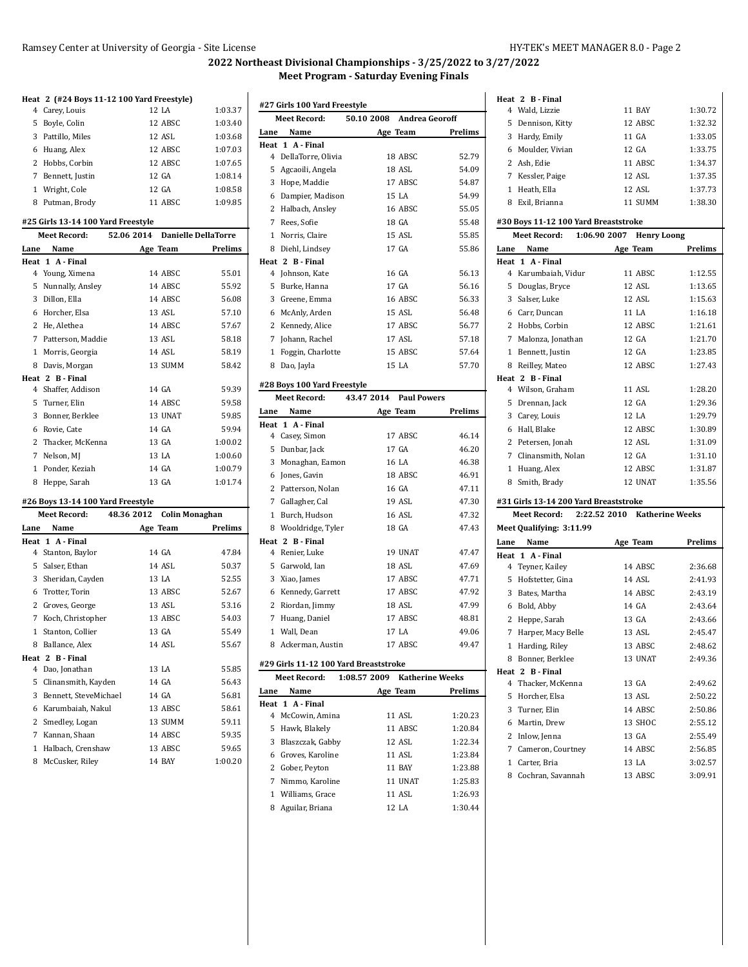Wald, Lizzie 11 BAY 1:30.72

**Heat 2 B - Final**

# **2022 Northeast Divisional Championships - 3/25/2022 to 3/27/2022 Meet Program - Saturday Evening Finals**

|              | Heat 2 (#24 Boys 11-12 100 Yard Freestyle) |            |                                |         |
|--------------|--------------------------------------------|------------|--------------------------------|---------|
|              | 4 Carey, Louis                             |            | 12 LA                          | 1:03.37 |
|              | 5 Boyle, Colin                             |            | 12 ABSC                        | 1:03.40 |
|              | 3 Pattillo, Miles                          |            | 12 ASL                         | 1:03.68 |
|              | 6 Huang, Alex                              |            | 12 ABSC                        | 1:07.03 |
| $\mathbf{2}$ | Hobbs, Corbin                              |            | 12 ABSC                        | 1:07.65 |
|              | 7 Bennett, Justin                          |            | 12 GA                          | 1:08.14 |
|              | 1 Wright, Cole                             |            | 12 GA                          | 1:08.58 |
|              | 8 Putman, Brody                            |            | 11 ABSC                        | 1:09.85 |
|              |                                            |            |                                |         |
|              | #25 Girls 13-14 100 Yard Freestyle         |            |                                |         |
|              | <b>Meet Record:</b>                        |            | 52.06 2014 Danielle DellaTorre |         |
| Lane         | Name                                       |            | Age Team                       | Prelims |
| Heat         | 1 A - Final                                |            |                                |         |
|              | 4 Young, Ximena                            |            | 14 ABSC                        | 55.01   |
|              | 5 Nunnally, Ansley                         |            | 14 ABSC                        | 55.92   |
|              | 3 Dillon, Ella                             |            | 14 ABSC                        | 56.08   |
|              | 6 Horcher, Elsa                            |            | 13 ASL                         | 57.10   |
| 2            | He, Alethea                                |            | 14 ABSC                        | 57.67   |
|              | 7 Patterson, Maddie                        |            | 13 ASL                         | 58.18   |
|              | 1 Morris, Georgia                          |            | 14 ASL                         | 58.19   |
|              | 8 Davis, Morgan                            |            | 13 SUMM                        | 58.42   |
|              | Heat 2 B - Final                           |            |                                |         |
|              | 4 Shaffer, Addison                         |            | 14 GA                          | 59.39   |
|              | 5 Turner, Elin                             |            | 14 ABSC                        | 59.58   |
| 3            | Bonner, Berklee                            |            | 13 UNAT                        | 59.85   |
| 6            | Rovie, Cate                                |            | 14 GA                          | 59.94   |
| $\mathbf{2}$ | Thacker, McKenna                           |            | 13 GA                          | 1:00.02 |
|              | 7 Nelson, MJ                               |            | 13 LA                          | 1:00.60 |
| $\mathbf{1}$ | Ponder, Keziah                             |            | 14 GA                          | 1:00.79 |
| 8            | Heppe, Sarah                               |            | 13 GA                          | 1:01.74 |
|              | #26 Boys 13-14 100 Yard Freestyle          |            |                                |         |
|              | <b>Meet Record:</b>                        | 48.36 2012 | <b>Colin Monaghan</b>          |         |
|              | Lane Name                                  |            | Age Team                       | Prelims |
|              | Heat 1 A - Final                           |            |                                |         |
|              | 4 Stanton, Baylor                          |            | 14 GA                          | 47.84   |
|              | 5 Salser, Ethan                            |            | 14 ASL                         | 50.37   |
|              | 3 Sheridan, Cayden                         |            | 13 LA                          | 52.55   |
| 6            | Trotter, Torin                             |            | 13 ABSC                        | 52.67   |
|              | 2 Groves, George                           |            | 13 ASL                         | 53.16   |
|              | 7 Koch, Christopher                        |            | 13 ABSC                        | 54.03   |
|              | 1 Stanton, Collier                         |            | 13 GA                          | 55.49   |
| 8            | Ballance, Alex                             |            | 14 ASL                         | 55.67   |
| Heat 2       | <b>B</b> - Final                           |            |                                |         |
|              | 4 Dao, Jonathan                            |            | 13 LA                          | 55.85   |
| 5            | Clinansmith, Kayden                        |            | 14 GA                          | 56.43   |
| 3            | Bennett, SteveMichael                      |            | 14 GA                          | 56.81   |
| 6            | Karumbaiah, Nakul                          |            | 13 ABSC                        | 58.61   |
| $\mathbf{2}$ | Smedley, Logan                             |            | 13 SUMM                        | 59.11   |
| 7            | Kannan, Shaan                              |            | 14 ABSC                        | 59.35   |
|              | 1 Halbach. Crenshaw                        |            | 13 ABSC                        | 59.65   |
|              |                                            |            |                                |         |

McCusker, Riley 14 BAY 1:00.20

|                | #27 Girls 100 Yard Freestyle          |                                           |                |
|----------------|---------------------------------------|-------------------------------------------|----------------|
|                | <b>Meet Record:</b>                   | 50.10 2008 Andrea Georoff                 |                |
|                | Lane Name                             | Age Team                                  | Prelims        |
|                | Heat 1 A - Final                      |                                           |                |
|                | 4 DellaTorre, Olivia                  | 18 ABSC                                   | 52.79          |
|                | 5 Agcaoili, Angela                    | 18 ASL                                    | 54.09          |
|                | 3 Hope, Maddie                        | 17 ABSC                                   | 54.87          |
|                | 6 Dampier, Madison                    | 15 LA                                     | 54.99          |
|                | 2 Halbach, Ansley                     | 16 ABSC                                   | 55.05          |
|                | 7 Rees, Sofie                         | 18 GA                                     | 55.48          |
| $\mathbf{1}$   | Norris, Claire                        | 15 ASL                                    | 55.85          |
|                | 8 Diehl, Lindsey                      | 17 GA                                     | 55.86          |
|                | Heat 2 B - Final                      |                                           |                |
| $\overline{4}$ | Johnson, Kate                         | 16 GA                                     | 56.13          |
| 5              | Burke, Hanna                          | 17 GA                                     | 56.16          |
|                | 3 Greene, Emma                        | 16 ABSC                                   | 56.33          |
|                | 6 McAnly, Arden                       | 15 ASL                                    | 56.48          |
|                | 2 Kennedy, Alice                      | 17 ABSC                                   | 56.77          |
|                | 7 Johann, Rachel                      | 17 ASL                                    | 57.18          |
|                | 1 Foggin, Charlotte                   | 15 ABSC                                   | 57.64          |
|                | 8 Dao, Jayla                          | 15 LA                                     | 57.70          |
|                |                                       |                                           |                |
|                | #28 Boys 100 Yard Freestyle           | Meet Record: 43.47 2014 Paul Powers       |                |
|                | Lane Name                             | Age Team                                  | <b>Prelims</b> |
| Heat 1         | A - Final                             |                                           |                |
|                | 4 Casey, Simon                        | 17 ABSC                                   | 46.14          |
|                | 5 Dunbar, Jack                        | 17 GA                                     | 46.20          |
|                | 3 Monaghan, Eamon                     | 16 LA                                     | 46.38          |
|                | 6 Jones, Gavin                        | 18 ABSC                                   | 46.91          |
|                | 2 Patterson, Nolan                    | 16 GA                                     | 47.11          |
|                | 7 Gallagher, Cal                      | 19 ASL                                    | 47.30          |
|                | 1 Burch, Hudson                       | 16 ASL                                    | 47.32          |
|                | 8 Wooldridge, Tyler                   | 18 GA                                     | 47.43          |
|                | Heat 2 B - Final                      |                                           |                |
| 4              | Renier, Luke                          | 19 UNAT                                   | 47.47          |
|                | 5 Garwold, Ian                        | 18 ASL                                    | 47.69          |
|                | 3 Xiao, James                         | 17 ABSC                                   | 47.71          |
|                | 6 Kennedy, Garrett                    | 17 ABSC                                   | 47.92          |
|                | 2 Riordan, Jimmy                      | 18 ASL                                    | 47.99          |
|                | 7 Huang, Daniel                       | 17 ABSC                                   | 48.81          |
|                | 1 Wall, Dean                          | 17 LA                                     | 49.06          |
|                | 8 Ackerman, Austin                    | 17 ABSC                                   | 49.47          |
|                |                                       |                                           |                |
|                | #29 Girls 11-12 100 Yard Breaststroke | Meet Record: 1:08.57 2009 Katherine Weeks |                |
|                |                                       |                                           |                |
| Lane           | Name                                  | Age Team                                  | Prelims        |
| $\overline{4}$ | Heat 1 A - Final<br>McCowin, Amina    | 11 ASL                                    | 1:20.23        |
| 5              | Hawk, Blakely                         | 11 ABSC                                   | 1:20.84        |

 Blaszczak, Gabby 12 ASL 1:22.34 Groves, Karoline 11 ASL 1:23.84 Gober, Peyton 11 BAY 1:23.88 Nimmo, Karoline 11 UNAT 1:25.83 1 Williams, Grace 11 ASL 1:26.93 Aguilar, Briana 12 LA 1:30.44

| 5<br>Dennison, Kitty                  | 12 ABSC                            | 1:32.32        |
|---------------------------------------|------------------------------------|----------------|
| 3 Hardy, Emily                        | 11 GA                              | 1:33.05        |
| 6 Moulder, Vivian                     | 12 GA                              | 1:33.75        |
| 2 Ash, Edie                           | 11 ABSC                            | 1:34.37        |
| 7 Kessler, Paige                      | 12 ASL                             | 1:37.35        |
| 1 Heath, Ella                         | 12 ASL                             | 1:37.73        |
| 8 Exil, Brianna                       | 11 SUMM                            | 1:38.30        |
| #30 Boys 11-12 100 Yard Breaststroke  |                                    |                |
| Meet Record:                          | 1:06.90 2007<br><b>Henry Loong</b> |                |
| Lane<br>Name                          | Age Team                           | <b>Prelims</b> |
| Heat 1 A - Final                      |                                    |                |
| 4 Karumbaiah, Vidur                   | 11 ABSC                            | 1:12.55        |
| 5<br>Douglas, Bryce                   | 12 ASL                             | 1:13.65        |
| 3 Salser, Luke                        | 12 ASL                             | 1:15.63        |
| 6 Carr, Duncan                        | 11 LA                              | 1:16.18        |
| 2 Hobbs, Corbin                       | 12 ABSC                            | 1:21.61        |
| 7 Malonza, Jonathan                   | 12 GA                              | 1:21.70        |
| 1 Bennett, Justin                     | 12 GA                              | 1:23.85        |
| 8 Reilley, Mateo                      | 12 ABSC                            | 1:27.43        |
| Heat 2 B Final                        |                                    |                |
| 4 Wilson, Graham                      | 11 ASL                             | 1:28.20        |
| Drennan, Jack<br>5                    | 12 GA                              | 1:29.36        |
| 3 Carey, Louis                        | 12 LA                              | 1:29.79        |
| 6 Hall, Blake                         | 12 ABSC                            | 1:30.89        |
| 2 Petersen, Jonah                     | 12 ASL                             | 1:31.09        |
|                                       |                                    |                |
| 7 Clinansmith, Nolan                  | 12 GA                              | 1:31.10        |
| Huang, Alex<br>1                      | 12 ABSC                            | 1:31.87        |
| 8 Smith, Brady                        | 12 UNAT                            | 1:35.56        |
| #31 Girls 13-14 200 Yard Breaststroke |                                    |                |
| <b>Meet Record:</b>                   | 2:22.52 2010 Katherine Weeks       |                |
| Meet Qualifying: 3:11.99              |                                    |                |
| Lane<br>Name                          | Age Team                           | Prelims        |
| Heat 1 A-Final                        |                                    |                |
| 4 Teyner, Kailey                      | 14 ABSC                            | 2:36.68        |
| 5<br>Hofstetter, Gina                 | 14 ASL                             | 2:41.93        |
| 3 Bates, Martha                       | 14 ABSC                            | 2:43.19        |
| 6 Bold, Abby                          | 14 GA                              | 2:43.64        |
| 2 Heppe, Sarah                        | 13 GA                              | 2:43.66        |
| 7 Harper, Macy Belle                  | 13 ASL                             | 2:45.47        |
| Harding, Riley<br>$\mathbf{1}$        | 13 ABSC                            | 2:48.62        |
| 8 Bonner, Berklee                     | 13 UNAT                            | 2:49.36        |
| Heat 2 B Final                        |                                    |                |
| 4 Thacker, McKenna                    | 13 GA                              | 2:49.62        |
| 5<br>Horcher, Elsa                    | 13 ASL                             | 2:50.22        |
| 3 Turner, Elin                        | 14 ABSC                            | 2:50.86        |
| 6 Martin, Drew                        | 13 SHOC                            | 2:55.12        |
| 2 Inlow, Jenna                        | 13 GA                              | 2:55.49        |
| 7 Cameron, Courtney                   | 14 ABSC                            | 2:56.85        |
| 1 Carter, Bria                        | 13 LA                              | 3:02.57        |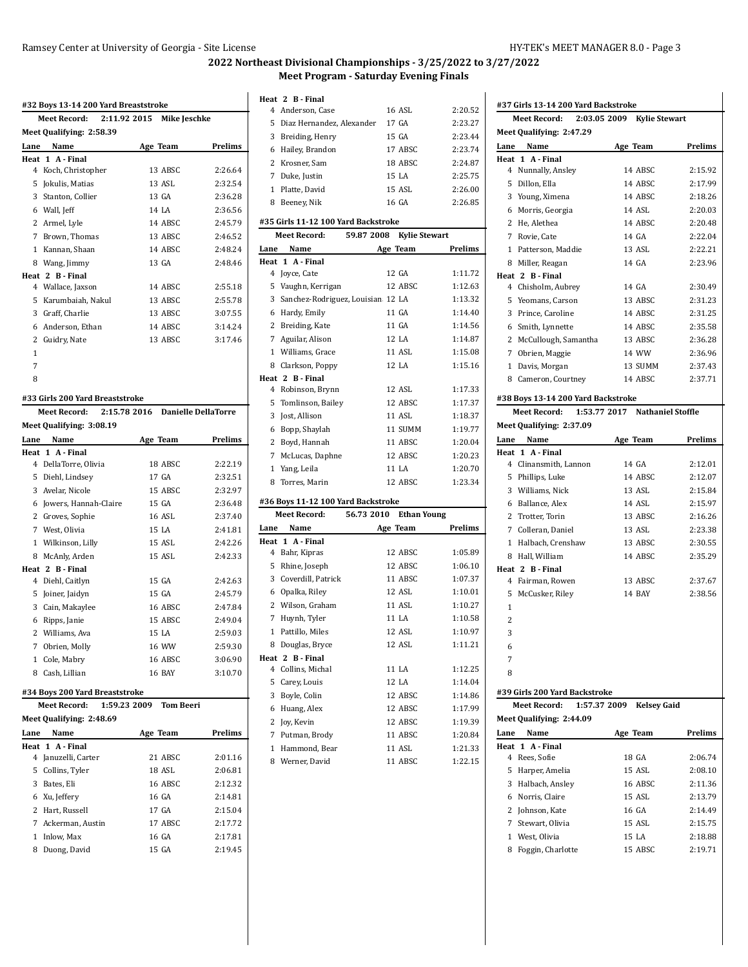**#37 Girls 13-14 200 Yard Backstroke**

# **2022 Northeast Divisional Championships - 3/25/2022 to 3/27/2022 Meet Program - Saturday Evening Finals**

| #32 Boys 13-14 200 Yard Breaststroke |                                                                       |                                  |         |  |
|--------------------------------------|-----------------------------------------------------------------------|----------------------------------|---------|--|
|                                      | Meet Record:                                                          | 2:11.92 2015 Mike Jeschke        |         |  |
|                                      | Meet Qualifying: 2:58.39                                              |                                  |         |  |
| Lane                                 | Name                                                                  | Age Team                         | Prelims |  |
|                                      | Heat 1 A Final                                                        |                                  |         |  |
| 4                                    | Koch, Christopher                                                     | 13 ABSC                          | 2:26.64 |  |
| 5                                    | Jokulis, Matias                                                       | 13 ASL                           | 2:32.54 |  |
|                                      | 3 Stanton, Collier                                                    | 13 GA                            | 2:36.28 |  |
|                                      | 6 Wall, Jeff                                                          | 14 LA                            | 2:36.56 |  |
|                                      | 2 Armel, Lyle                                                         | 14 ABSC                          | 2:45.79 |  |
| 7                                    | Brown, Thomas                                                         | 13 ABSC                          | 2:46.52 |  |
| 1                                    | Kannan, Shaan                                                         | 14 ABSC                          | 2:48.24 |  |
|                                      | 8 Wang, Jimmy                                                         | 13 GA                            | 2:48.46 |  |
|                                      | Heat 2 B-Final                                                        |                                  |         |  |
| 4                                    | Wallace, Jaxson                                                       | 14 ABSC                          | 2:55.18 |  |
| 5                                    | Karumbaiah, Nakul                                                     | 13 ABSC                          | 2:55.78 |  |
|                                      | 3 Graff, Charlie                                                      | 13 ABSC                          | 3:07.55 |  |
|                                      | 6 Anderson, Ethan                                                     | 14 ABSC                          | 3:14.24 |  |
| 2                                    | Guidry, Nate                                                          | 13 ABSC                          | 3:17.46 |  |
| 1                                    |                                                                       |                                  |         |  |
| 7                                    |                                                                       |                                  |         |  |
| 8                                    |                                                                       |                                  |         |  |
|                                      |                                                                       |                                  |         |  |
|                                      | #33 Girls 200 Yard Breaststroke                                       |                                  |         |  |
|                                      | Meet Record:                                                          | 2:15.78 2016 Danielle DellaTorre |         |  |
|                                      | <b>Meet Qualifying: 3:08.19</b>                                       |                                  |         |  |
| Lane                                 | Name                                                                  | Age Team                         | Prelims |  |
|                                      | Heat 1 A Final                                                        |                                  |         |  |
| 4                                    | DellaTorre, Olivia                                                    | 18 ABSC                          | 2:22.19 |  |
| 5                                    | Diehl, Lindsey                                                        | 17 GA                            | 2:32.51 |  |
|                                      | 3 Avelar, Nicole                                                      | 15 ABSC                          | 2:32.97 |  |
|                                      | 6 Jowers, Hannah-Claire                                               | 15 GA                            | 2:36.48 |  |
|                                      | 2 Groves, Sophie                                                      | <b>16 ASL</b>                    | 2:37.40 |  |
| 7                                    | West, Olivia                                                          | 15 LA                            | 2:41.81 |  |
|                                      | 1 Wilkinson, Lilly                                                    | 15 ASL                           | 2:42.26 |  |
| 8                                    | McAnly, Arden                                                         | 15 ASL                           | 2:42.33 |  |
|                                      | Heat 2 B Final                                                        |                                  |         |  |
| 4                                    | Diehl, Caitlyn                                                        | 15 GA                            | 2:42.63 |  |
| 5                                    | Joiner, Jaidyn                                                        | 15 GA                            | 2:45.79 |  |
|                                      | 3 Cain, Makaylee                                                      | 16 ABSC                          | 2:47.84 |  |
|                                      | 6 Ripps, Janie                                                        | 15 ABSC                          | 2:49.04 |  |
| 2                                    | Williams, Ava                                                         | 15 LA                            | 2:59.03 |  |
|                                      | 7 Obrien, Molly                                                       | 16 WW                            | 2:59.30 |  |
| 1                                    | Cole, Mabry                                                           | 16 ABSC                          | 3:06.90 |  |
|                                      | 8 Cash, Lillian                                                       | 16 BAY                           | 3:10.70 |  |
|                                      |                                                                       |                                  |         |  |
|                                      | #34 Boys 200 Yard Breaststroke<br><b>Meet Record:</b><br>1:59.23 2009 | <b>Tom Beeri</b>                 |         |  |
|                                      |                                                                       |                                  |         |  |
|                                      | Meet Qualifying: 2:48.69                                              |                                  |         |  |
| Lane                                 | Name                                                                  | Age Team                         | Prelims |  |
|                                      | Heat 1 A-Final                                                        |                                  |         |  |
|                                      | 4 Januzelli, Carter                                                   | 21 ABSC                          | 2:01.16 |  |
|                                      | 5 Collins, Tyler                                                      | 18 ASL                           | 2:06.81 |  |
|                                      | 3 Bates, Eli                                                          | 16 ABSC                          | 2:12.32 |  |
|                                      | 6 Xu, Jeffery                                                         | 16 GA                            | 2:14.81 |  |
|                                      | 2 Hart, Russell                                                       | 17 GA                            | 2:15.04 |  |
|                                      | 7 Ackerman, Austin                                                    | 17 ABSC                          | 2:17.72 |  |
|                                      | 1 Inlow, Max                                                          | 16 GA                            | 2:17.81 |  |
| 8                                    | Duong, David                                                          | 15 GA                            | 2:19.45 |  |

# **Heat 2 B - Final**

|              | Heat 2 B-Final                                             |                                    |         |
|--------------|------------------------------------------------------------|------------------------------------|---------|
|              | 4 Anderson, Case                                           | 16 ASL                             | 2:20.52 |
| 5            | Diaz Hernandez, Alexander                                  | 17 GA                              | 2:23.27 |
|              | 3 Breiding, Henry                                          | 15 GA                              | 2:23.44 |
| 6            | Hailey, Brandon                                            | 17 ABSC                            | 2:23.74 |
| 2            | Krosner, Sam                                               | 18 ABSC                            | 2:24.87 |
| 7            | Duke, Justin                                               | 15 LA                              | 2:25.75 |
| $\mathbf{1}$ | Platte, David                                              | 15 ASL                             | 2:26.00 |
| 8            | Beeney, Nik                                                | 16 GA                              | 2:26.85 |
|              |                                                            |                                    |         |
|              | #35 Girls 11-12 100 Yard Backstroke<br><b>Meet Record:</b> | 59.87 2008<br><b>Kylie Stewart</b> |         |
|              | Name                                                       |                                    |         |
| Lane         |                                                            | Age Team                           | Prelims |
|              | Heat 1 A Final<br>4 Joyce, Cate                            | 12 GA                              | 1:11.72 |
|              | 5 Vaughn, Kerrigan                                         | 12 ABSC                            | 1:12.63 |
|              | 3 Sanchez-Rodriguez, Louisian 12 LA                        |                                    | 1:13.32 |
|              | 6 Hardy, Emily                                             | 11 GA                              | 1:14.40 |
|              | 2 Breiding, Kate                                           | 11 GA                              | 1:14.56 |
|              | 7 Aguilar, Alison                                          | 12 LA                              | 1:14.87 |
|              | 1 Williams, Grace                                          | 11 ASL                             | 1:15.08 |
|              |                                                            | 12 LA                              | 1:15.16 |
|              | 8 Clarkson, Poppy<br>Heat 2 B - Final                      |                                    |         |
| 4            | Robinson, Brynn                                            | 12 ASL                             | 1:17.33 |
| 5            | Tomlinson, Bailey                                          | 12 ABSC                            | 1:17.37 |
|              | 3 Jost, Allison                                            | 11 ASL                             | 1:18.37 |
|              | 6 Bopp, Shaylah                                            | 11 SUMM                            | 1:19.77 |
|              | 2 Boyd, Hannah                                             | 11 ABSC                            | 1:20.04 |
| 7            | McLucas, Daphne                                            | 12 ABSC                            | 1:20.23 |
| $\mathbf{1}$ | Yang, Leila                                                | 11 LA                              | 1:20.70 |
| 8            | Torres, Marin                                              | 12 ABSC                            | 1:23.34 |
|              |                                                            |                                    |         |
|              | #36 Boys 11-12 100 Yard Backstroke                         |                                    |         |
|              | <b>Meet Record:</b>                                        | 56.73 2010 Ethan Young             |         |
|              | Lane Name                                                  | Age Team                           | Prelims |
|              | Heat 1 A Final                                             |                                    |         |
|              | 4 Bahr, Kipras                                             | 12 ABSC                            | 1:05.89 |
| 5            | Rhine, Joseph                                              | 12 ABSC                            | 1:06.10 |
| 3            | Coverdill, Patrick                                         | 11 ABSC                            | 1:07.37 |
| 6            | Opalka, Riley                                              | 12 ASL                             | 1:10.01 |
|              | 2 Wilson, Graham                                           | 11 ASL                             | 1:10.27 |
| 7            | Huynh, Tyler                                               | 11 LA                              | 1:10.58 |
| $\mathbf{1}$ | Pattillo, Miles                                            | 12 ASL                             | 1:10.97 |
|              | 8 Douglas, Bryce                                           | 12 ASL                             | 1:11.21 |
|              | Heat 2 B - Final                                           |                                    |         |
| 4            | Collins, Michal                                            | 11 LA                              | 1:12.25 |
|              | 5 Carey, Louis                                             | 12 LA                              | 1:14.04 |
|              | 3 Boyle, Colin                                             | 12 ABSC                            | 1:14.86 |
|              | 6 Huang, Alex                                              | 12 ABSC                            | 1:17.99 |
|              | 2 Joy, Kevin                                               | 12 ABSC                            | 1:19.39 |
|              | 7 Putman, Brody                                            | 11 ABSC                            | 1:20.84 |
|              | 1 Hammond, Bear                                            | 11 ASL                             | 1:21.33 |

8 Werner, David 11 ABSC 1:22.15

**Meet Record: 2:03.05 2009 Kylie Stewart Meet Qualifying: 2:47.29 Lane Name Age Team Prelims Heat 1 A - Final** Nunnally, Ansley 14 ABSC 2:15.92 Dillon, Ella 14 ABSC 2:17.99 Young, Ximena 14 ABSC 2:18.26 Morris, Georgia 14 ASL 2:20.03 He, Alethea 14 ABSC 2:20.48 Rovie, Cate 14 GA 2:22.04 Patterson, Maddie 13 ASL 2:22.21 Miller, Reagan 14 GA 2:23.96 **Heat 2 B - Final** Chisholm, Aubrey 14 GA 2:30.49 Yeomans, Carson 13 ABSC 2:31.23 Prince, Caroline 14 ABSC 2:31.25 Smith, Lynnette 14 ABSC 2:35.58 2 McCullough, Samantha 13 ABSC 2:36.28 Obrien, Maggie 14 WW 2:36.96 Davis, Morgan 13 SUMM 2:37.43 Cameron, Courtney 14 ABSC 2:37.71 **#38 Boys 13-14 200 Yard Backstroke Meet Record: 1:53.77 2017 Nathaniel Stoffle Meet Qualifying: 2:37.09 Lane Name Age Team Prelims Heat 1 A - Final** Clinansmith, Lannon 14 GA 2:12.01 Phillips, Luke 14 ABSC 2:12.07 Williams, Nick 13 ASL 2:15.84 Ballance, Alex 14 ASL 2:15.97 Trotter, Torin 13 ABSC 2:16.26 Colleran, Daniel 13 ASL 2:23.38 Halbach, Crenshaw 13 ABSC 2:30.55 Hall, William 14 ABSC 2:35.29 **Heat 2 B - Final** Fairman, Rowen 13 ABSC 2:37.67 McCusker, Riley 14 BAY 2:38.56 **#39 Girls 200 Yard Backstroke Meet Record: 1:57.37 2009 Kelsey Gaid Meet Qualifying: 2:44.09 Lane Name Age Team Prelims Heat 1 A - Final** Rees, Sofie 18 GA 2:06.74 Harper, Amelia 15 ASL 2:08.10 Halbach, Ansley 16 ABSC 2:11.36 Norris, Claire 15 ASL 2:13.79 Johnson, Kate 16 GA 2:14.49 Stewart, Olivia 15 ASL 2:15.75 West, Olivia 15 LA 2:18.88 8 Foggin, Charlotte 15 ABSC 2:19.71